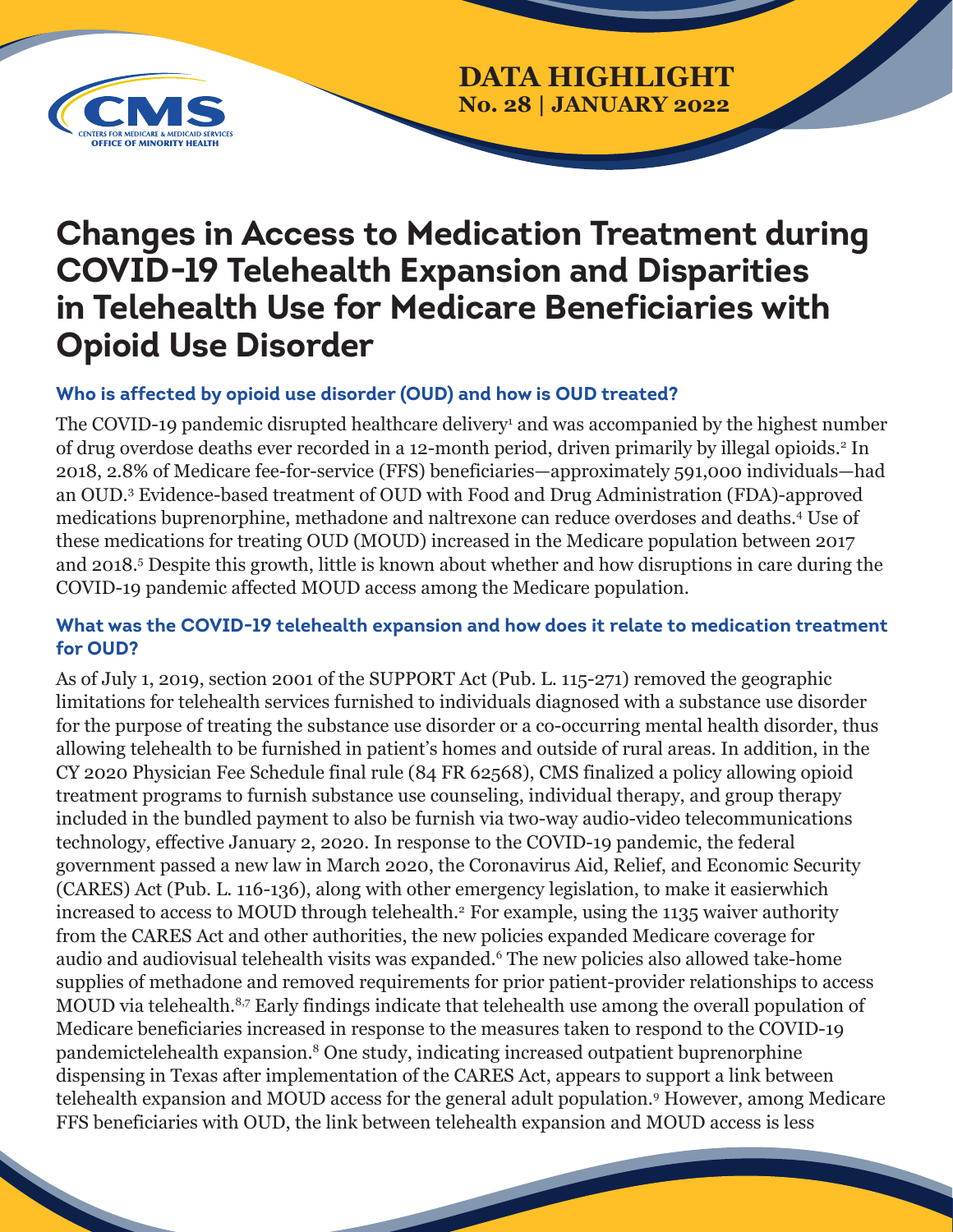

## **DATA HIGHLIGHT No. 28 | JANUARY 2022**

# **Changes in Access to Medication Treatment during COVID-19 Telehealth Expansion and Disparities in Telehealth Use for Medicare Beneficiaries with Opioid Use Disorder**

### **Who is affected by opioid use disorder (OUD) and how is OUD treated?**

The COVID-19 pandemic disrupted healthcare delivery<sup>1</sup> and was accompanied by the highest number of drug overdose deaths ever recorded in a 12-month period, driven primarily by illegal opioids.<sup>2</sup> In 2018, 2.8% of Medicare fee-for-service (FFS) beneficiaries—approximately 591,000 individuals—had an OUD.3 Evidence-based treatment of OUD with Food and Drug Administration (FDA)-approved medications buprenorphine, methadone and naltrexone can reduce overdoses and deaths.<sup>4</sup> Use of these medications for treating OUD (MOUD) increased in the Medicare population between 2017 and 2018.5 Despite this growth, little is known about whether and how disruptions in care during the COVID-19 pandemic affected MOUD access among the Medicare population.

#### **What was the COVID-19 telehealth expansion and how does it relate to medication treatment for OUD?**

As of July 1, 2019, section 2001 of the SUPPORT Act (Pub. L. 115-271) removed the geographic limitations for telehealth services furnished to individuals diagnosed with a substance use disorder for the purpose of treating the substance use disorder or a co-occurring mental health disorder, thus allowing telehealth to be furnished in patient's homes and outside of rural areas. In addition, in the CY 2020 Physician Fee Schedule final rule (84 FR 62568), CMS finalized a policy allowing opioid treatment programs to furnish substance use counseling, individual therapy, and group therapy included in the bundled payment to also be furnish via two-way audio-video telecommunications technology, effective January 2, 2020. In response to the COVID-19 pandemic, the federal government passed a new law in March 2020, the Coronavirus Aid, Relief, and Economic Security (CARES) Act (Pub. L. 116-136), along with other emergency legislation, to make it easierwhich increased to access to MOUD through telehealth.<sup>2</sup> For example, using the 1135 waiver authority from the CARES Act and other authorities, the new policies expanded Medicare coverage for audio and audiovisual telehealth visits was expanded.6 The new policies also allowed take-home supplies of methadone and removed requirements for prior patient-provider relationships to access MOUD via telehealth.<sup>8,7</sup> Early findings indicate that telehealth use among the overall population of Medicare beneficiaries increased in response to the measures taken to respond to the COVID-19 pandemictelehealth expansion.8 One study, indicating increased outpatient buprenorphine dispensing in Texas after implementation of the CARES Act, appears to support a link between telehealth expansion and MOUD access for the general adult population.9 However, among Medicare FFS beneficiaries with OUD, the link between telehealth expansion and MOUD access is less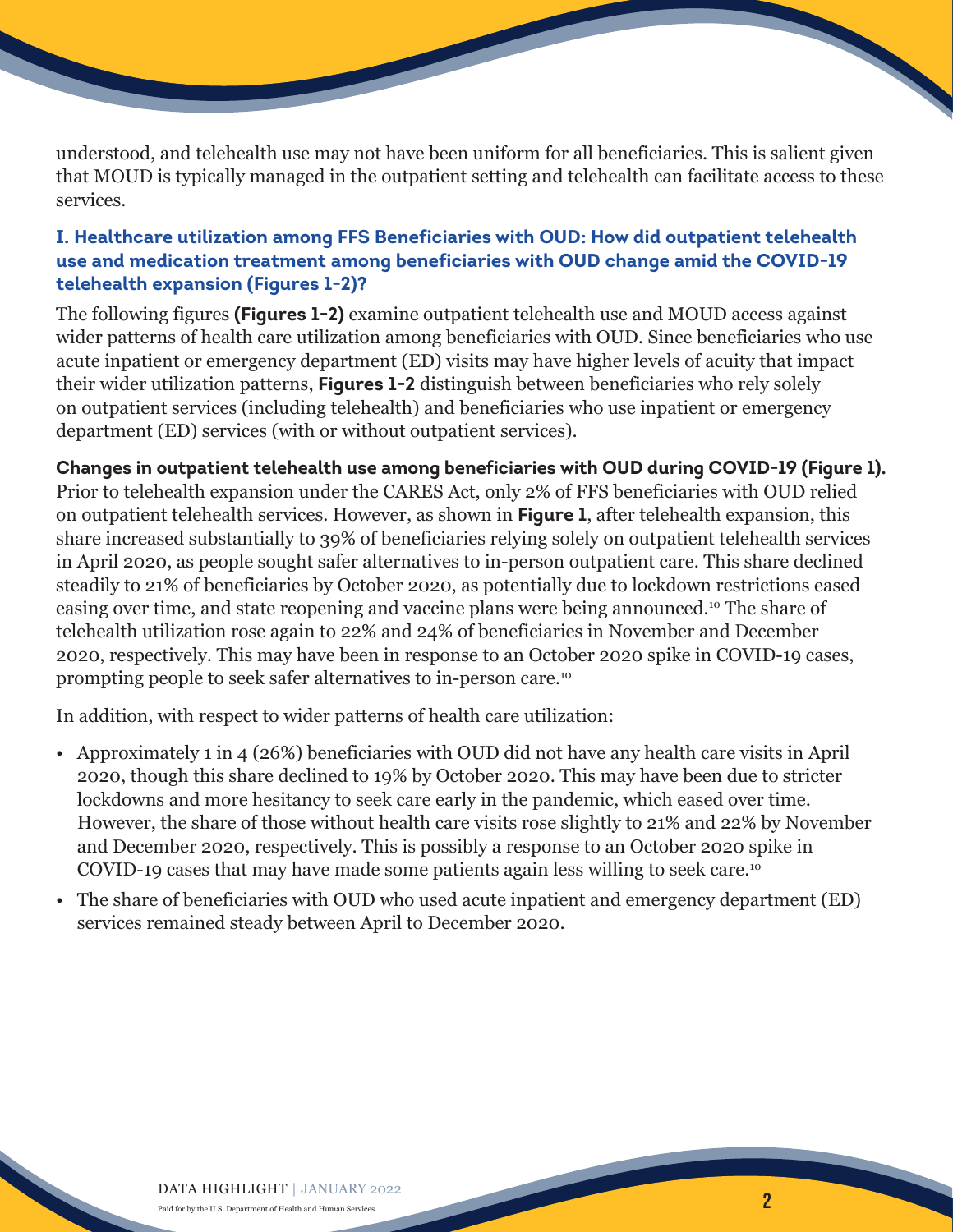understood, and telehealth use may not have been uniform for all beneficiaries. This is salient given that MOUD is typically managed in the outpatient setting and telehealth can facilitate access to these services.

#### **I. Healthcare utilization among FFS Beneficiaries with OUD: How did outpatient telehealth use and medication treatment among beneficiaries with OUD change amid the COVID-19 telehealth expansion (Figures 1-2)?**

The following figures **(Figures 1-2)** examine outpatient telehealth use and MOUD access against wider patterns of health care utilization among beneficiaries with OUD. Since beneficiaries who use acute inpatient or emergency department (ED) visits may have higher levels of acuity that impact their wider utilization patterns, **Figures 1-2** distinguish between beneficiaries who rely solely on outpatient services (including telehealth) and beneficiaries who use inpatient or emergency department (ED) services (with or without outpatient services).

#### **Changes in outpatient telehealth use among beneficiaries with OUD during COVID-19 (Figure 1).** Prior to telehealth expansion under the CARES Act, only 2% of FFS beneficiaries with OUD relied

on outpatient telehealth services. However, as shown in **Figure 1**, after telehealth expansion, this share increased substantially to 39% of beneficiaries relying solely on outpatient telehealth services in April 2020, as people sought safer alternatives to in-person outpatient care. This share declined steadily to 21% of beneficiaries by October 2020, as potentially due to lockdown restrictions eased easing over time, and state reopening and vaccine plans were being announced.10 The share of telehealth utilization rose again to 22% and 24% of beneficiaries in November and December 2020, respectively. This may have been in response to an October 2020 spike in COVID-19 cases, prompting people to seek safer alternatives to in-person care.10

In addition, with respect to wider patterns of health care utilization:

- Approximately 1 in 4 (26%) beneficiaries with OUD did not have any health care visits in April 2020, though this share declined to 19% by October 2020. This may have been due to stricter lockdowns and more hesitancy to seek care early in the pandemic, which eased over time. However, the share of those without health care visits rose slightly to 21% and 22% by November and December 2020, respectively. This is possibly a response to an October 2020 spike in COVID-19 cases that may have made some patients again less willing to seek care.10
- The share of beneficiaries with OUD who used acute inpatient and emergency department (ED) services remained steady between April to December 2020.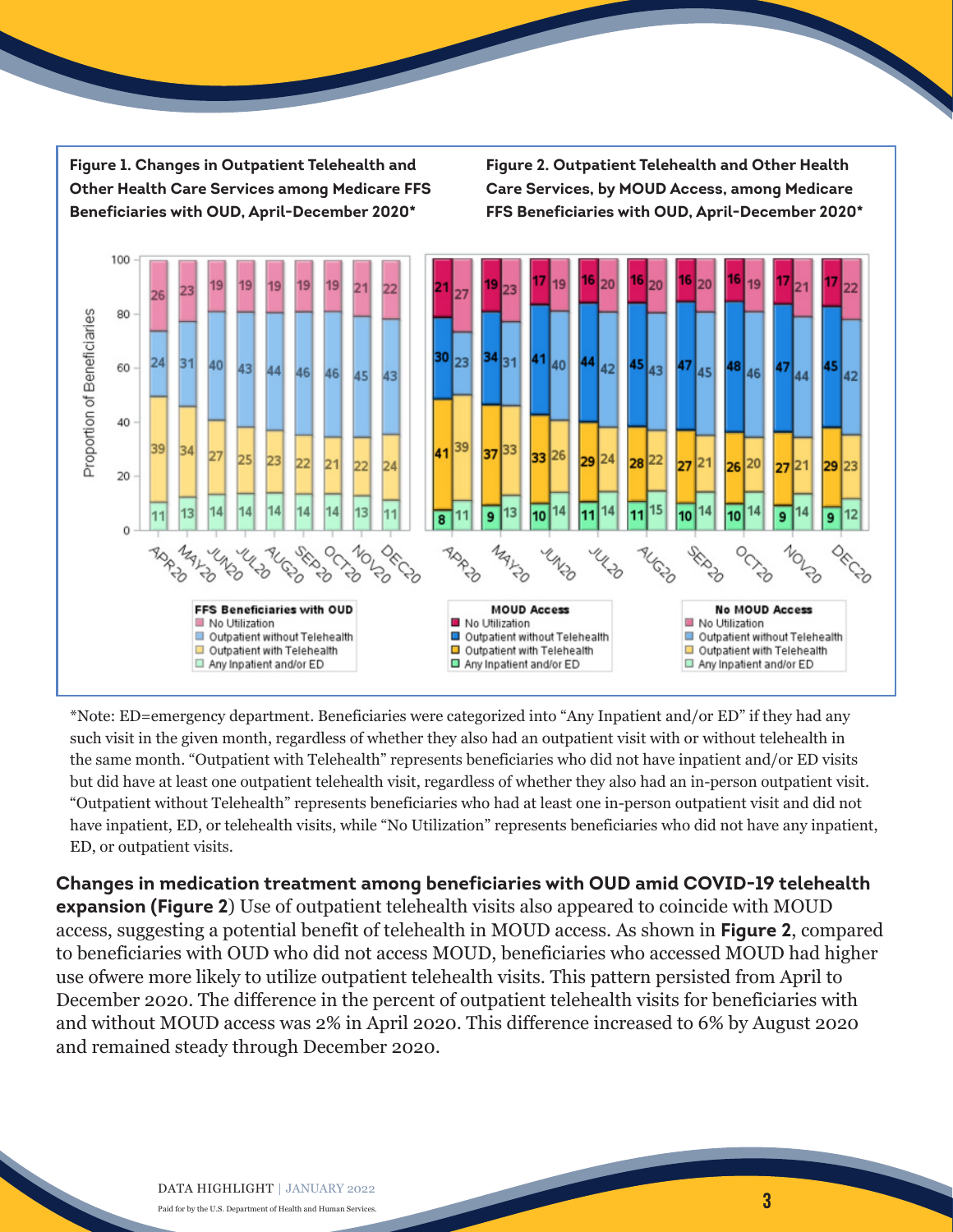**Figure 1. Changes in Outpatient Telehealth and Other Health Care Services among Medicare FFS Beneficiaries with OUD, April-December 2020\***

**Figure 2. Outpatient Telehealth and Other Health Care Services, by MOUD Access, among Medicare FFS Beneficiaries with OUD, April-December 2020\***



\*Note: ED=emergency department. Beneficiaries were categorized into "Any Inpatient and/or ED" if they had any such visit in the given month, regardless of whether they also had an outpatient visit with or without telehealth in the same month. "Outpatient with Telehealth" represents beneficiaries who did not have inpatient and/or ED visits but did have at least one outpatient telehealth visit, regardless of whether they also had an in-person outpatient visit. "Outpatient without Telehealth" represents beneficiaries who had at least one in-person outpatient visit and did not have inpatient, ED, or telehealth visits, while "No Utilization" represents beneficiaries who did not have any inpatient, ED, or outpatient visits.

**Changes in medication treatment among beneficiaries with OUD amid COVID-19 telehealth expansion (Figure 2**) Use of outpatient telehealth visits also appeared to coincide with MOUD access, suggesting a potential benefit of telehealth in MOUD access. As shown in **Figure 2**, compared to beneficiaries with OUD who did not access MOUD, beneficiaries who accessed MOUD had higher use ofwere more likely to utilize outpatient telehealth visits. This pattern persisted from April to December 2020. The difference in the percent of outpatient telehealth visits for beneficiaries with and without MOUD access was 2% in April 2020. This difference increased to 6% by August 2020 and remained steady through December 2020.

3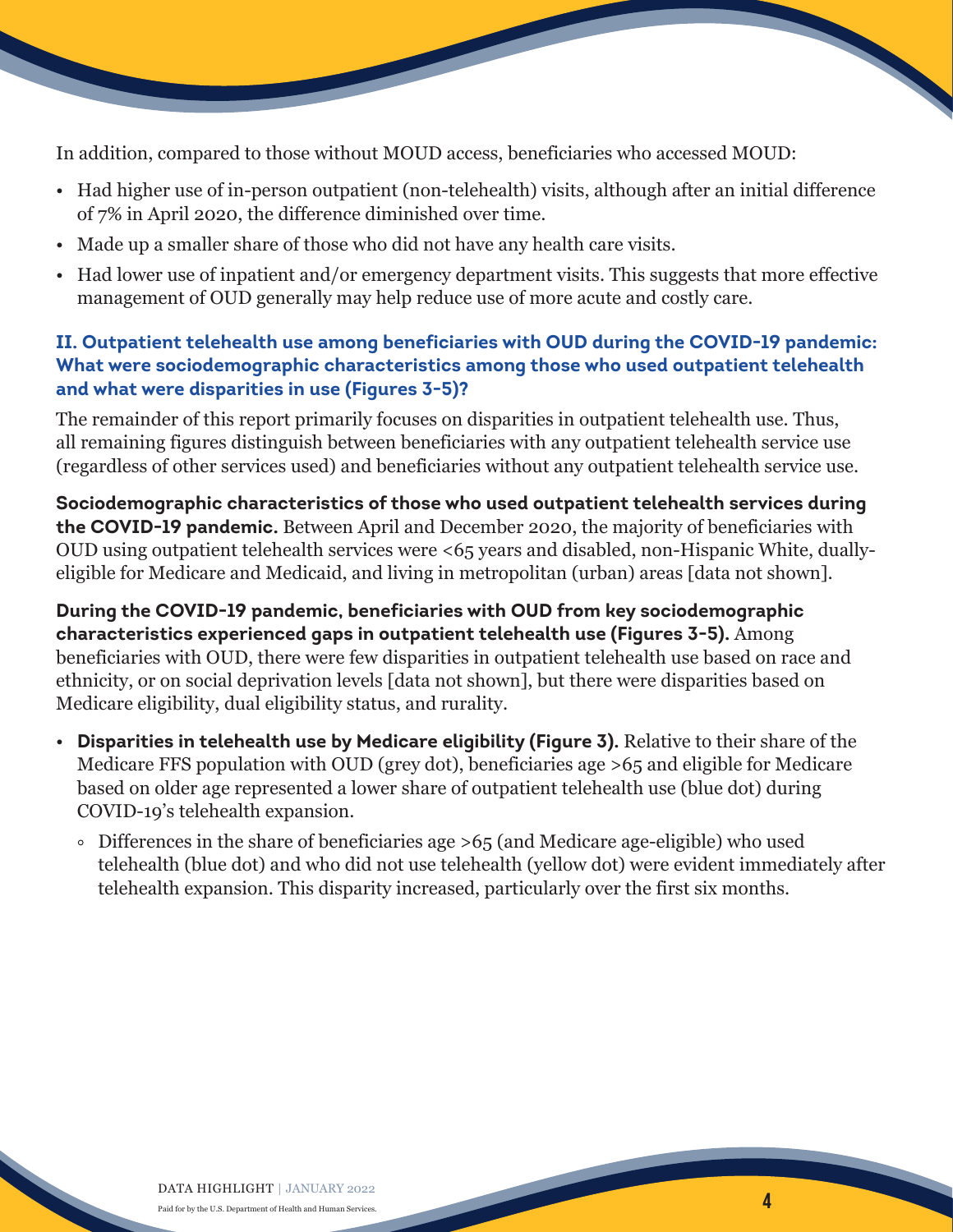

In addition, compared to those without MOUD access, beneficiaries who accessed MOUD:

- Had higher use of in-person outpatient (non-telehealth) visits, although after an initial difference of 7% in April 2020, the difference diminished over time.
- Made up a smaller share of those who did not have any health care visits.
- Had lower use of inpatient and/or emergency department visits. This suggests that more effective management of OUD generally may help reduce use of more acute and costly care.

### **II. Outpatient telehealth use among beneficiaries with OUD during the COVID-19 pandemic: What were sociodemographic characteristics among those who used outpatient telehealth and what were disparities in use (Figures 3-5)?**

The remainder of this report primarily focuses on disparities in outpatient telehealth use. Thus, all remaining figures distinguish between beneficiaries with any outpatient telehealth service use (regardless of other services used) and beneficiaries without any outpatient telehealth service use.

**Sociodemographic characteristics of those who used outpatient telehealth services during the COVID-19 pandemic.** Between April and December 2020, the majority of beneficiaries with OUD using outpatient telehealth services were <65 years and disabled, non-Hispanic White, duallyeligible for Medicare and Medicaid, and living in metropolitan (urban) areas [data not shown].

**During the COVID-19 pandemic, beneficiaries with OUD from key sociodemographic characteristics experienced gaps in outpatient telehealth use (Figures 3-5).** Among beneficiaries with OUD, there were few disparities in outpatient telehealth use based on race and ethnicity, or on social deprivation levels [data not shown], but there were disparities based on Medicare eligibility, dual eligibility status, and rurality.

- **Disparities in telehealth use by Medicare eligibility (Figure 3).** Relative to their share of the Medicare FFS population with OUD (grey dot), beneficiaries age >65 and eligible for Medicare based on older age represented a lower share of outpatient telehealth use (blue dot) during COVID-19's telehealth expansion.
	- Differences in the share of beneficiaries age >65 (and Medicare age-eligible) who used telehealth (blue dot) and who did not use telehealth (yellow dot) were evident immediately after telehealth expansion. This disparity increased, particularly over the first six months.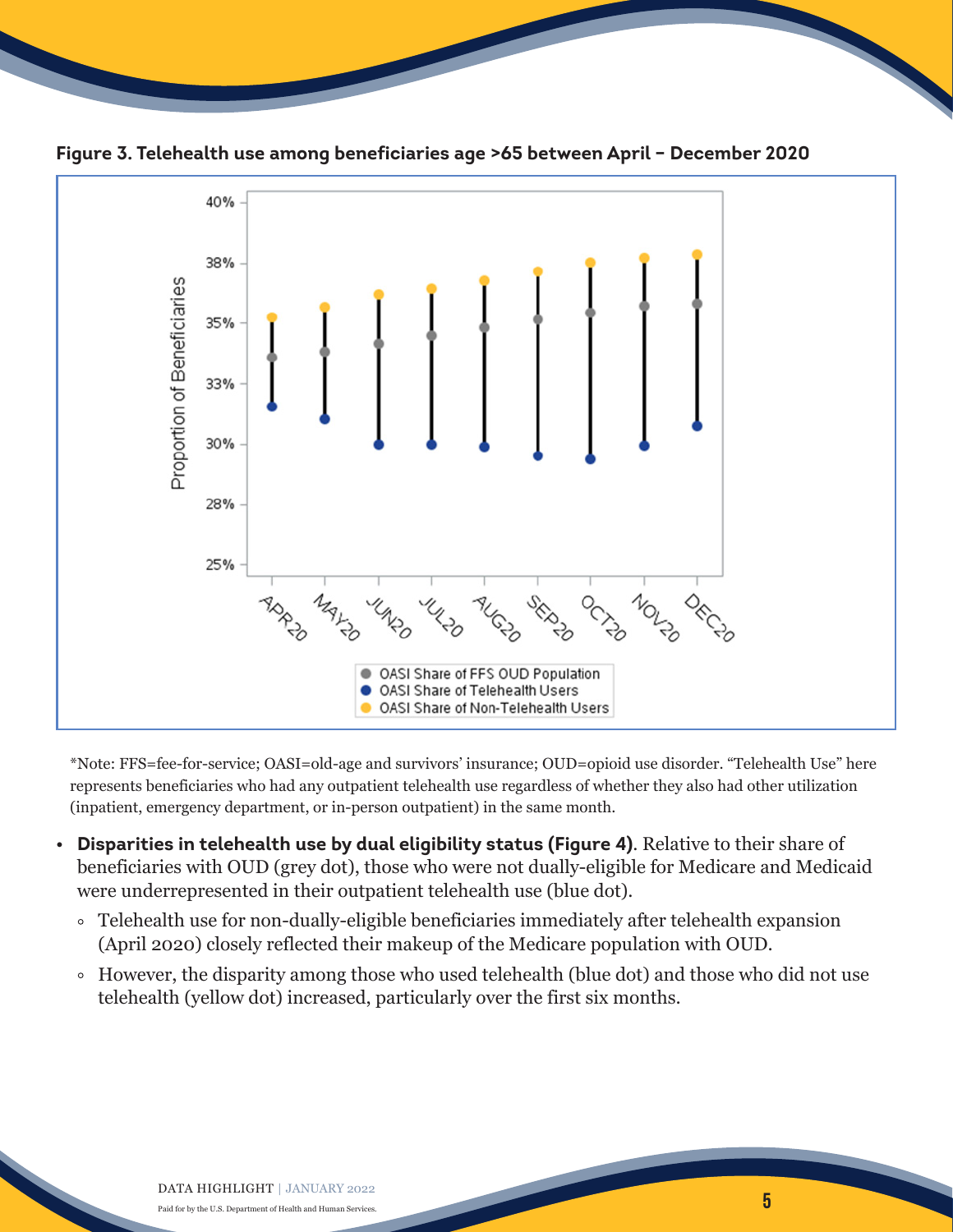



**Figure 3. Telehealth use among beneficiaries age >65 between April – December 2020**

\*Note: FFS=fee-for-service; OASI=old-age and survivors' insurance; OUD=opioid use disorder. "Telehealth Use" here represents beneficiaries who had any outpatient telehealth use regardless of whether they also had other utilization (inpatient, emergency department, or in-person outpatient) in the same month.

- **Disparities in telehealth use by dual eligibility status (Figure 4)**. Relative to their share of beneficiaries with OUD (grey dot), those who were not dually-eligible for Medicare and Medicaid were underrepresented in their outpatient telehealth use (blue dot).
	- Telehealth use for non-dually-eligible beneficiaries immediately after telehealth expansion (April 2020) closely reflected their makeup of the Medicare population with OUD.
	- However, the disparity among those who used telehealth (blue dot) and those who did not use telehealth (yellow dot) increased, particularly over the first six months.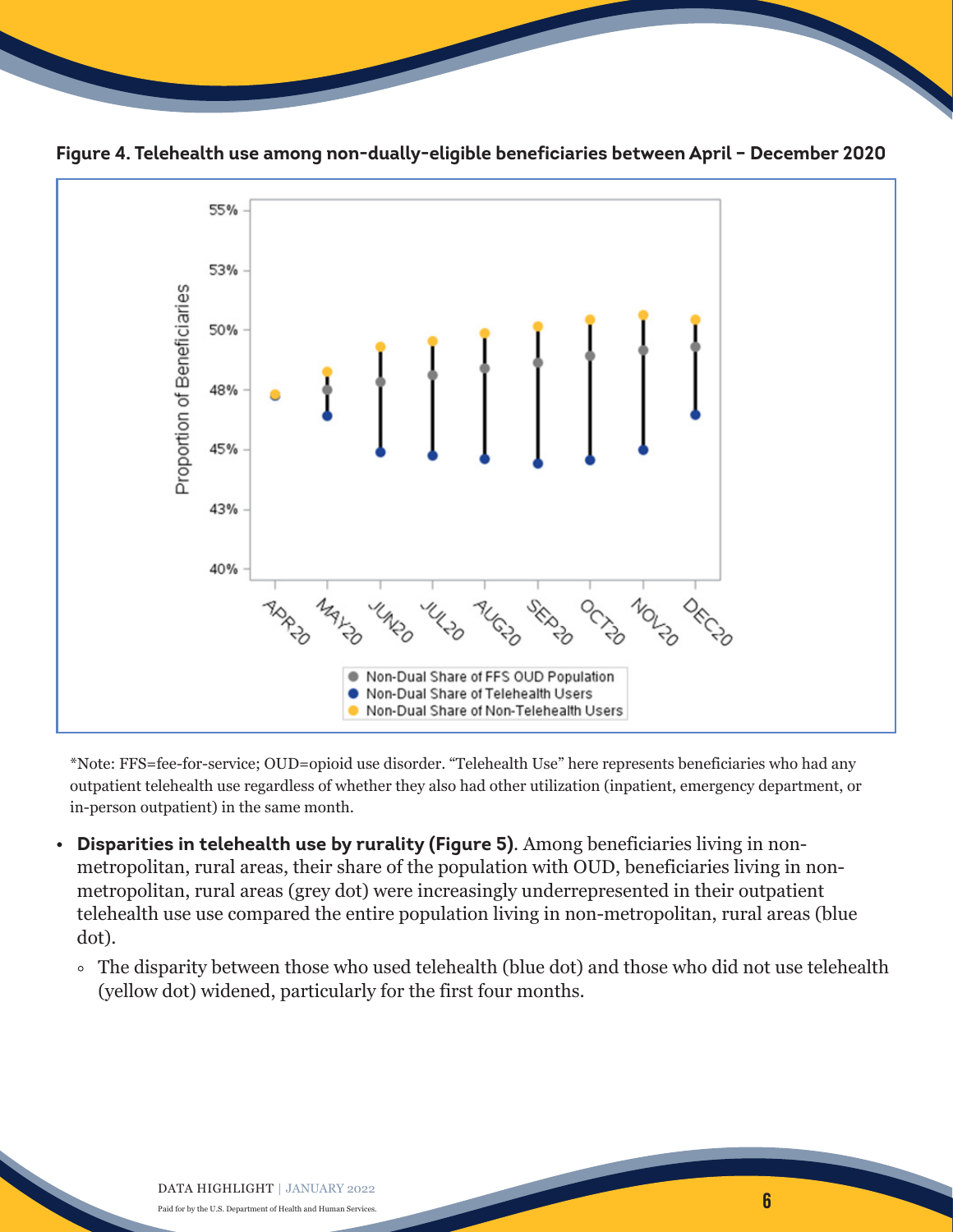



**Figure 4. Telehealth use among non-dually-eligible beneficiaries between April – December 2020**

\*Note: FFS=fee-for-service; OUD=opioid use disorder. "Telehealth Use" here represents beneficiaries who had any outpatient telehealth use regardless of whether they also had other utilization (inpatient, emergency department, or in-person outpatient) in the same month.

- **Disparities in telehealth use by rurality (Figure 5)**. Among beneficiaries living in nonmetropolitan, rural areas, their share of the population with OUD, beneficiaries living in nonmetropolitan, rural areas (grey dot) were increasingly underrepresented in their outpatient telehealth use use compared the entire population living in non-metropolitan, rural areas (blue dot).
	- The disparity between those who used telehealth (blue dot) and those who did not use telehealth (yellow dot) widened, particularly for the first four months.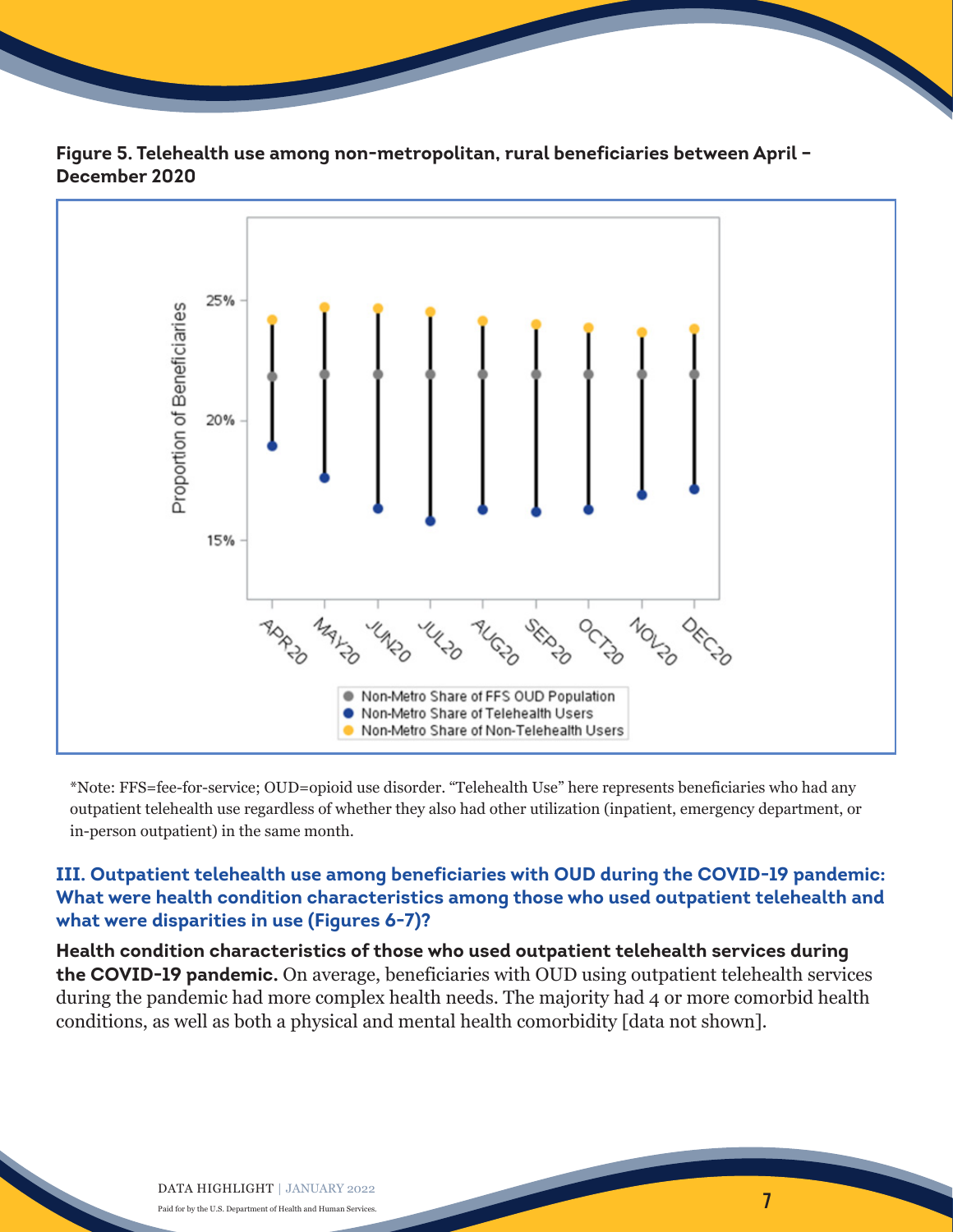



**Figure 5. Telehealth use among non-metropolitan, rural beneficiaries between April – December 2020**

\*Note: FFS=fee-for-service; OUD=opioid use disorder. "Telehealth Use" here represents beneficiaries who had any outpatient telehealth use regardless of whether they also had other utilization (inpatient, emergency department, or in-person outpatient) in the same month.

### **III. Outpatient telehealth use among beneficiaries with OUD during the COVID-19 pandemic: What were health condition characteristics among those who used outpatient telehealth and what were disparities in use (Figures 6-7)?**

**Health condition characteristics of those who used outpatient telehealth services during the COVID-19 pandemic.** On average, beneficiaries with OUD using outpatient telehealth services during the pandemic had more complex health needs. The majority had 4 or more comorbid health conditions, as well as both a physical and mental health comorbidity [data not shown].

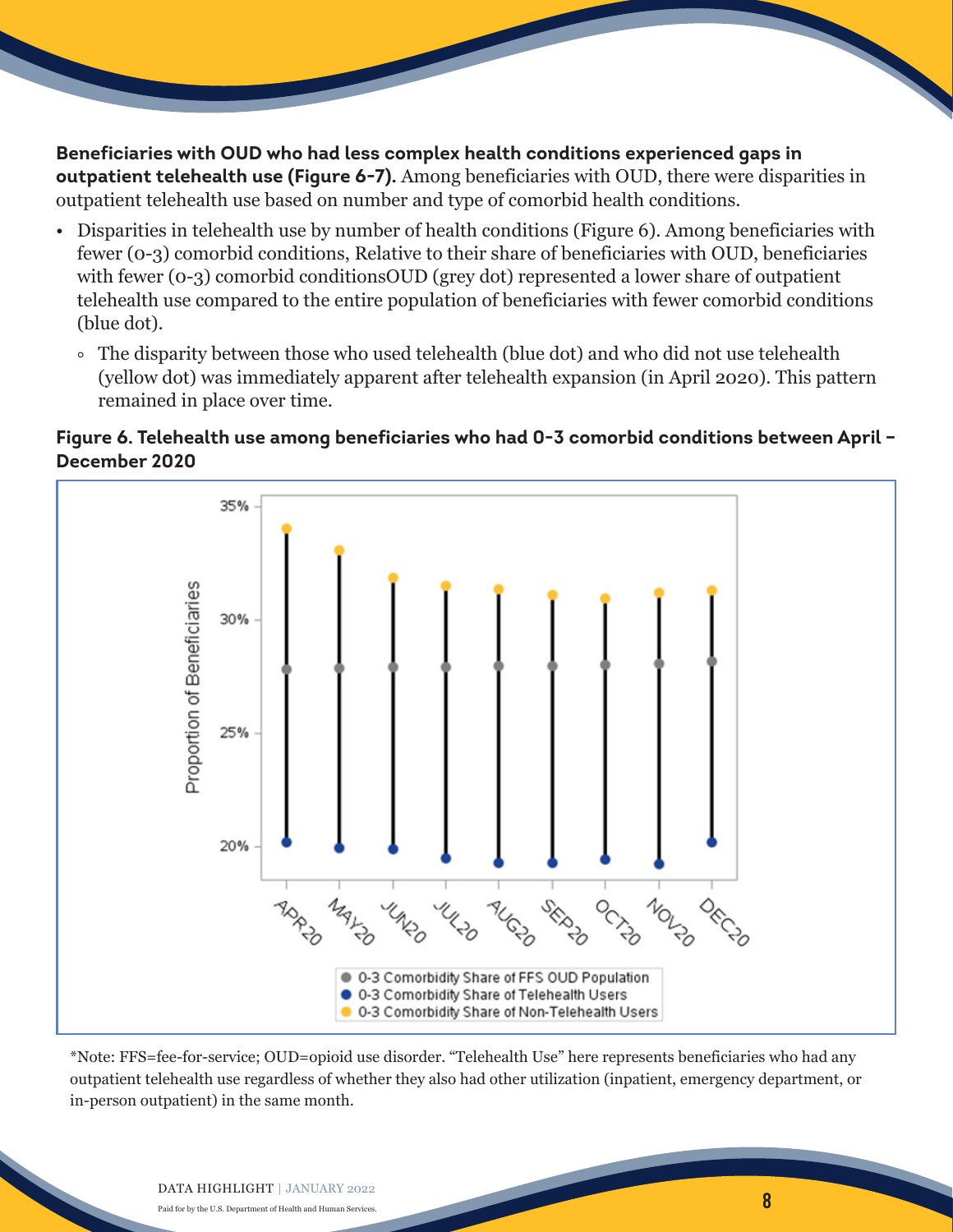**Beneficiaries with OUD who had less complex health conditions experienced gaps in outpatient telehealth use (Figure 6-7).** Among beneficiaries with OUD, there were disparities in outpatient telehealth use based on number and type of comorbid health conditions.

- Disparities in telehealth use by number of health conditions (Figure 6). Among beneficiaries with fewer (0-3) comorbid conditions, Relative to their share of beneficiaries with OUD, beneficiaries with fewer (0-3) comorbid conditionsOUD (grey dot) represented a lower share of outpatient telehealth use compared to the entire population of beneficiaries with fewer comorbid conditions (blue dot).
	- The disparity between those who used telehealth (blue dot) and who did not use telehealth (yellow dot) was immediately apparent after telehealth expansion (in April 2020). This pattern remained in place over time.

#### **Figure 6. Telehealth use among beneficiaries who had 0-3 comorbid conditions between April – December 2020**



\*Note: FFS=fee-for-service; OUD=opioid use disorder. "Telehealth Use" here represents beneficiaries who had any outpatient telehealth use regardless of whether they also had other utilization (inpatient, emergency department, or in-person outpatient) in the same month.

8

#### DATA HIGHLIGHT | JANUARY 2022

Paid for by the U.S. Department of Health and Human Services.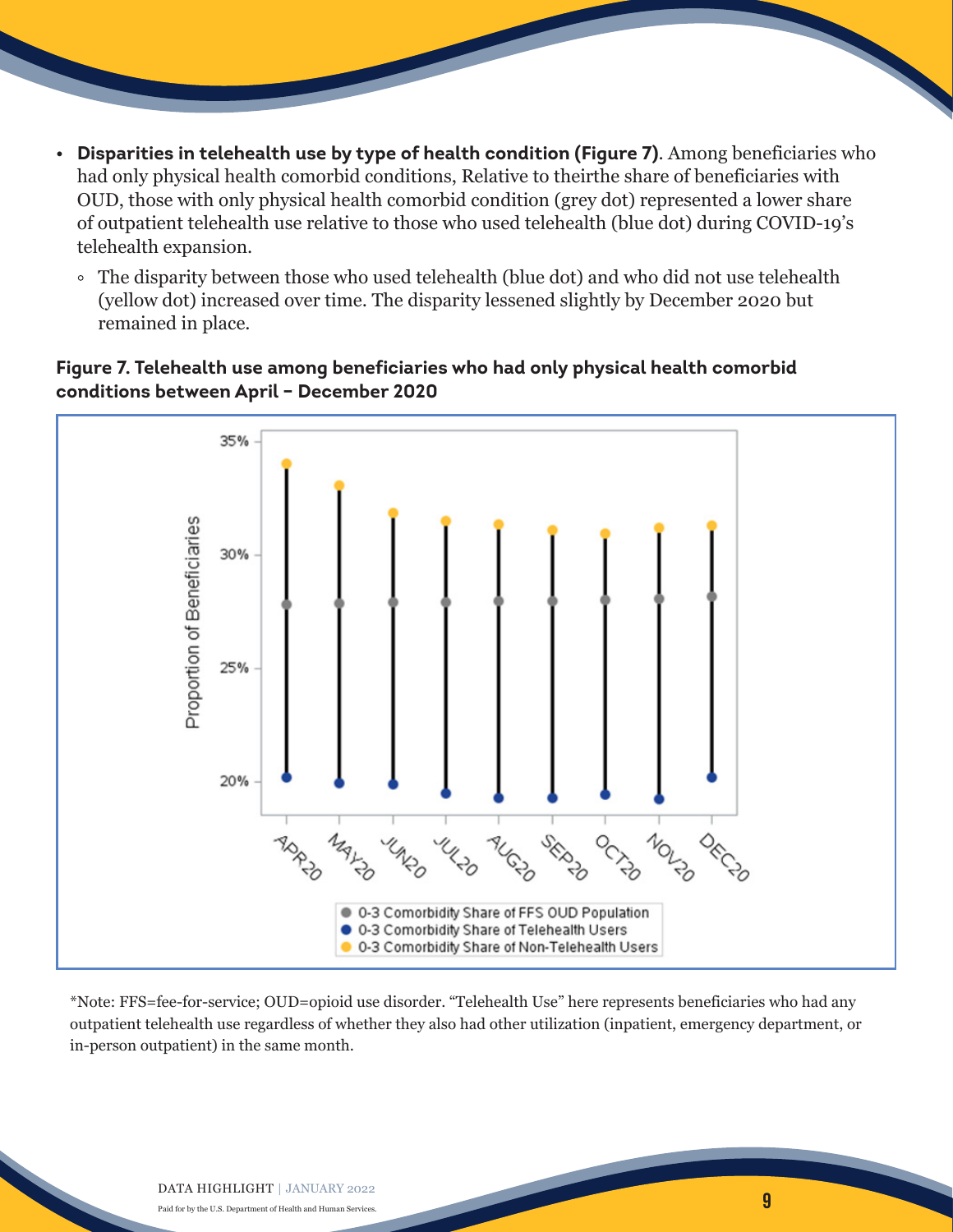- **Disparities in telehealth use by type of health condition (Figure 7)**. Among beneficiaries who had only physical health comorbid conditions, Relative to theirthe share of beneficiaries with OUD, those with only physical health comorbid condition (grey dot) represented a lower share of outpatient telehealth use relative to those who used telehealth (blue dot) during COVID-19's telehealth expansion.
	- The disparity between those who used telehealth (blue dot) and who did not use telehealth (yellow dot) increased over time. The disparity lessened slightly by December 2020 but remained in place.

#### **Figure 7. Telehealth use among beneficiaries who had only physical health comorbid conditions between April – December 2020**



\*Note: FFS=fee-for-service; OUD=opioid use disorder. "Telehealth Use" here represents beneficiaries who had any outpatient telehealth use regardless of whether they also had other utilization (inpatient, emergency department, or in-person outpatient) in the same month.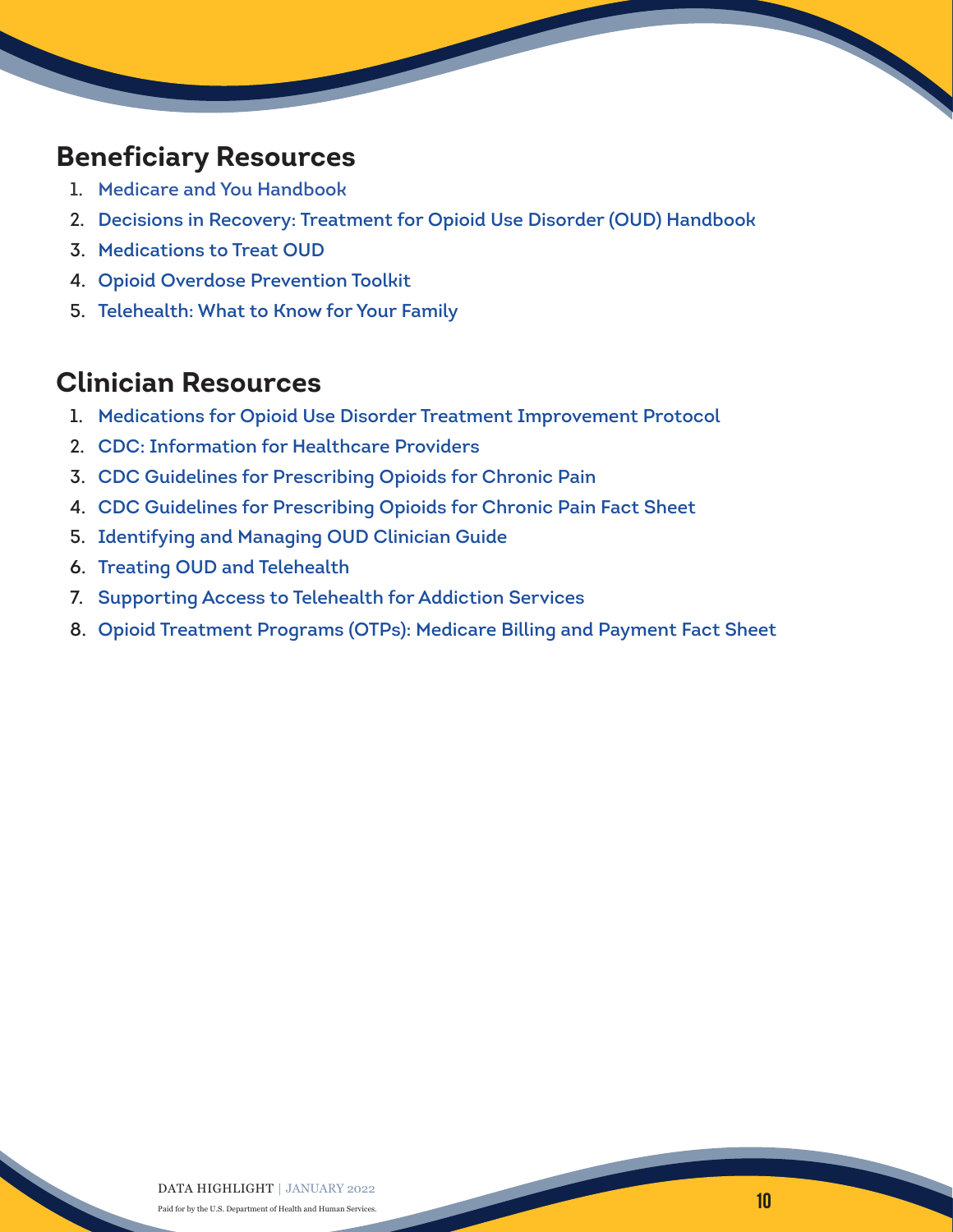## **Beneficiary Resources**

- 1. [Medicare and You Handbook](https://www.medicare.gov/Pubs/pdf/10050-Medicare-and-You.pdf)
- 2. [Decisions in Recovery: Treatment for Opioid Use Disorder \(OUD\) Handbook](https://store.samhsa.gov/sites/default/files/d7/priv/sma16-4993.pdf)
- 3. [Medications to Treat OUD](https://www.drugabuse.gov/publications/research-reports/medications-to-treat-opioid-addiction/efficacy-medications-opioid-use-disorder)
- 4. [Opioid Overdose Prevention Toolkit](https://store.samhsa.gov/sites/default/files/d7/priv/sma18-4742.pdf)
- 5. [Telehealth: What to Know for Your Family](https://www.cms.gov/files/document/c2c-telehealth-patient-toolkitdigital508c.pdf)

## **Clinician Resources**

- 1. [Medications for Opioid Use Disorder Treatment Improvement Protocol](https://store.samhsa.gov/sites/default/files/SAMHSA_Digital_Download/PEP20-02-01-006_508.pdf)
- 2. [CDC: Information for Healthcare Providers](https://www.cdc.gov/opioids/overdoseprevention/prescribing.html?CDC_AA_refVal=https%3A%2F%2Fwww.cdc.gov%2Fdrugoverdose%2Fprevention%2Fprescribing.html)
- 3. [CDC Guidelines for Prescribing Opioids for Chronic Pain](https://www.cdc.gov/mmwr/volumes/65/rr/rr6501e1.htm?s_cid=rr6501e1_w)
- 4. [CDC Guidelines for Prescribing Opioids for Chronic Pain Fact Sheet](https://www.cdc.gov/drugoverdose/pdf/infographic-cdc_guideline_for_prescribing_opioids_for_chronic_pain-a.pdf)
- 5. [Identifying and Managing OUD Clinician Guide](https://www.pbm.va.gov/PBM/AcademicDetailingService/Documents/Academic_Detailing_Educational_Material_Catalog/OUD_Provider_ProviderGuide_IB10933.pdf)
- 6. [Treating OUD and Telehealth](https://pcssnow.org/wp-content/uploads/2020/05/Telehealth-Tip-Sheet.pdf)
- 7. [Supporting Access to Telehealth for Addiction Services](https://www.asam.org/quality-care/clinical-guidelines/covid/supporting-access-to-telehealth-for-addiction-services)
- 8. [Opioid Treatment Programs \(OTPs\): Medicare Billing and Payment Fact Sheet](https://www.cms.gov/files/document/otp-billing-and-payment-fact-sheet.pdf)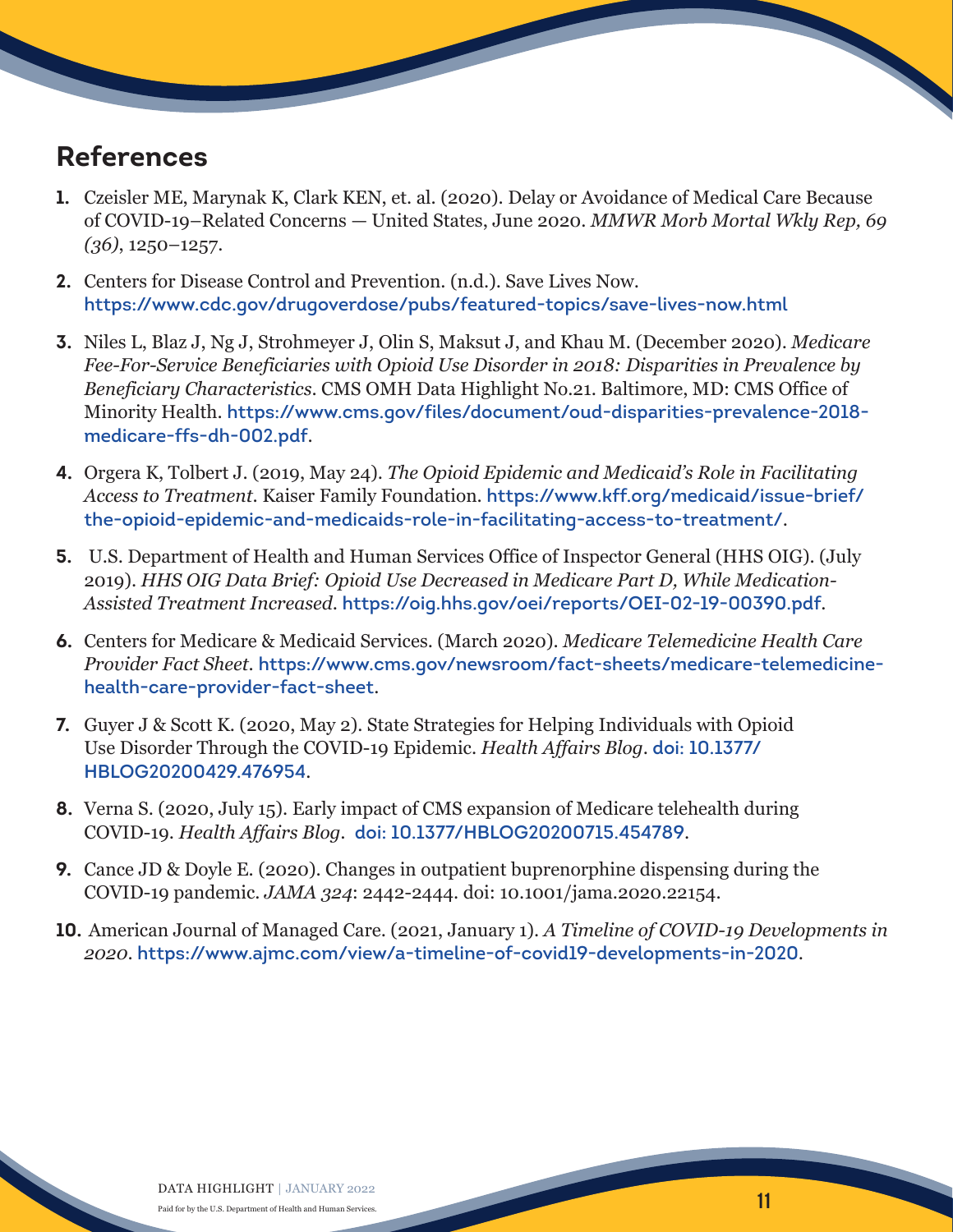## **References**

- **1.** Czeisler ME, Marynak K, Clark KEN, et. al. (2020). Delay or Avoidance of Medical Care Because of COVID-19–Related Concerns — United States, June 2020. *MMWR Morb Mortal Wkly Rep, 69 (36)*, 1250–1257.
- **2.** Centers for Disease Control and Prevention. (n.d.). Save Lives Now. <https://www.cdc.gov/drugoverdose/pubs/featured-topics/save-lives-now.html>
- **3.** Niles L, Blaz J, Ng J, Strohmeyer J, Olin S, Maksut J, and Khau M. (December 2020). *Medicare Fee-For-Service Beneficiaries with Opioid Use Disorder in 2018: Disparities in Prevalence by Beneficiary Characteristics*. CMS OMH Data Highlight No.21. Baltimore, MD: CMS Office of Minority Health. [https://www.cms.gov/files/document/oud-disparities-prevalence-2018](https://www.cms.gov/files/document/oud-disparities-prevalence-2018-medicare-ffs-dh-002.pdf) [medicare-ffs-dh-002.pdf](https://www.cms.gov/files/document/oud-disparities-prevalence-2018-medicare-ffs-dh-002.pdf).
- **4.** Orgera K, Tolbert J. (2019, May 24). *The Opioid Epidemic and Medicaid's Role in Facilitating Access to Treatment*. Kaiser Family Foundation. [https://www.kff.org/medicaid/issue-brief/](https://www.kff.org/medicaid/issue-brief/the-opioid-epidemic-and-medicaids-role-in-facilitating-acce) [the-opioid-epidemic-and-medicaids-role-in-facilitating-access-to-treatment/](https://www.kff.org/medicaid/issue-brief/the-opioid-epidemic-and-medicaids-role-in-facilitating-acce).
- **5.** U.S. Department of Health and Human Services Office of Inspector General (HHS OIG). (July 2019). *HHS OIG Data Brief: Opioid Use Decreased in Medicare Part D, While Medication-Assisted Treatment Increased*. <https://oig.hhs.gov/oei/reports/OEI-02-19-00390.pdf>.
- **6.** Centers for Medicare & Medicaid Services. (March 2020). *Medicare Telemedicine Health Care Provider Fact Sheet*. [https://www.cms.gov/newsroom/fact-sheets/medicare-telemedicine]( https://www.cms.gov/newsroom/fact-sheets/medicare-telemedicine-health-care-provider-fact-sheet)[health-care-provider-fact-sheet]( https://www.cms.gov/newsroom/fact-sheets/medicare-telemedicine-health-care-provider-fact-sheet).
- **7.** Guyer J & Scott K. (2020, May 2). State Strategies for Helping Individuals with Opioid Use Disorder Through the COVID-19 Epidemic. *Health Affairs Blog*. [doi: 10.1377/](https://www.healthaffairs.org/do/10.1377/forefront.20200429.476954/full/) [HBLOG20200429.476954](https://www.healthaffairs.org/do/10.1377/forefront.20200429.476954/full/).
- **8.** Verna S. (2020, July 15). Early impact of CMS expansion of Medicare telehealth during COVID-19. *Health Affairs Blog.* [doi: 10.1377/HBLOG20200715.454789](https://www.healthaffairs.org/do/10.1377/forefront.20200715.454789/full/).
- **9.** Cance JD & Doyle E. (2020). Changes in outpatient buprenorphine dispensing during the COVID-19 pandemic. *JAMA 324*: 2442-2444. doi: 10.1001/jama.2020.22154.
- **10.** American Journal of Managed Care. (2021, January 1). *A Timeline of COVID-19 Developments in 2020*. <https://www.ajmc.com/view/a-timeline-of-covid19-developments-in-2020>.